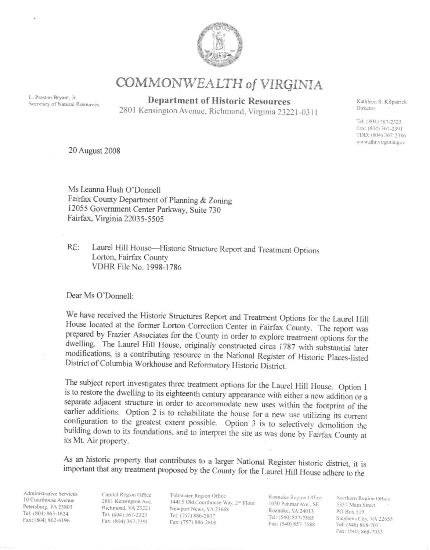

**COMMONWEALTH of VIRGINIA** 

## L. Preston Bryant, Jr. **Department of Historic Resources** Kathleen S. Kilpatrick Secretary of Natural Resources 2801 Kensington Avenue, Bighmand, View 32001, 2001, 2001, Director

2801 Kensington Avenue, Richmond, Virginia 23221-0311

Tel: (804) 367-2323 Fax: (804) 367-2391 TDD: (804) 367-2386 www.dhr.virginia.gov

20 August 2008

Ms Leanna Hush O"Donnell Fairfax County Department of Planning & Zoning 12055 Government Center Parkway, Suite 730 Fairfax, Virginia 22035-5505

RE: Laurel Hill House-Historic Structure Report and Treatment Options Lorton, Fairfax County VDHR File No. 1998-1786

Dear Ms O'Donnell:

We have received the Historic Structures Report and Treatment Options for the Laurel Hill House located at the fonner Lorton Correction Center in Fairfax County. The report was prepared by Frazier Associates for the County in order to explore treatment options for the dwelling. The Laurel Hill House, originally constructed circa 1787 with substantial later modifications, is a contributing resource in the National Register of Historic Places-listed District of Columbia Workhouse and Reformatory Historic District.

The subject report investigates three treatment options for the Laurel Hill House. Option I is to restore the dwelling to its eighteenth century appearance with either a new addition or a separate adjacent structure in order to accommodate new uses within the footprint of the earlier additions. Option 2 is to rehabilitate the house for a new use utilizing its current configuration to the greatest extent possible. Option 3 is to selectively demolition the building down to its foundations, and to interpret the site as was done by Fairfax County at its Mt. Air property.

As an historic property that contributes to a larger National Register historic district. it is important that any treatment proposed by the County for the Laurel Hill House adhere to the

Administrative Services 10 Courthouse Avenue Petersburg, VA 23803 Tel: (804) 863-1624 Fax: (804) 862-6196

÷,

Capital Region Office 2801 Kensington Ave. Richmond, VA 23221 Tel: 1804) 367-2323 Fax: (804) 367-2391

Tidewater Region Office 14415 Old Courthouse Way, 2<sup>nd</sup> Floor Newport News, VA 23608 Tel: (757) 886-2807 Fax: (757) 886-2808

**Roanoke Region Office** 1030 Penmar Ave., SE Roanoke, VA 24013 Tel: (540) 857-7585 Fax: (540) 857-7588

Northern Region Office 5357 Main Street PO Box 519 Stephens City, VA 22655 Tel: (540) 868-7031 Fax: (540) 868-7033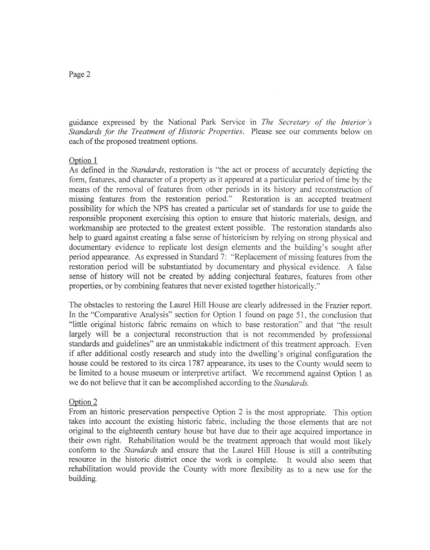## Page 2

guidance expressed by the National Park Service in *The Secretary of the Interior ·s Standards for the Treatment of Historic Properties.* Please see our comments below on each of the proposed treatment options.

## Option 1

As defined in the *Standards*, restoration is "the act or process of accurately depicting the form, features, and character of a property as it appeared at a particular period of time by the means of the removal of features from other periods in its history and reconstruction of missing features from the restoration period." Restoration is an accepted treatment possibility for which the NPS has created a particular set of standards for use to guide the responsible proponent exercising this option to ensure that historic materials, design, and workmanship are protected to the greatest extent possible. The restoration standards also help to guard against creating a false sense of historicism by relying on strong physical and documentary evidence to replicate lost design elements and the building's sought after period appearance. As expressed in Standard 7: "Replacement of missing features from the restoration period will be substantiated by documentary and physical evidence. A false sense of history will not be created by adding conjectural features, features from other properties, or by combining features that never existed together historically."

The obstacles to restoring the Laurel Hill House are clearly addressed in the Frazier report. In the "Comparative Analysis" section for Option 1 found on page 51, the conclusion that "little original historic fabric remains on which to base restoration" and that "the result largely will be a conjectural reconstruction that is not recommended by professional standards and guidelines" are an unmistakable indictment of this treatment approach. Even if after additional costly research and study into the dwelling·s original configuration the house could be restored to its circa 1787 appearance, its uses to the County would seem to be limited to a house museum or interpretive artifact. We recommend against Option I as we do not believe that it can be accomplished according to the *Standards.* 

## Option 2

From an historic preservation perspective Option 2 is the most appropriate. This option takes into account the existing historic fabric, including the those elements that are not original to the eighteenth century house but have due to their age acquired importance in their own right. Rehabilitation would be the treatment approach that would most likely conform to the *Standards* and ensure that the Laurel Hill House is still a contributing resource in the historic district once the work is complete. It would also seem that rehabilitation would provide the County with more flexibility as to a new use for the building.